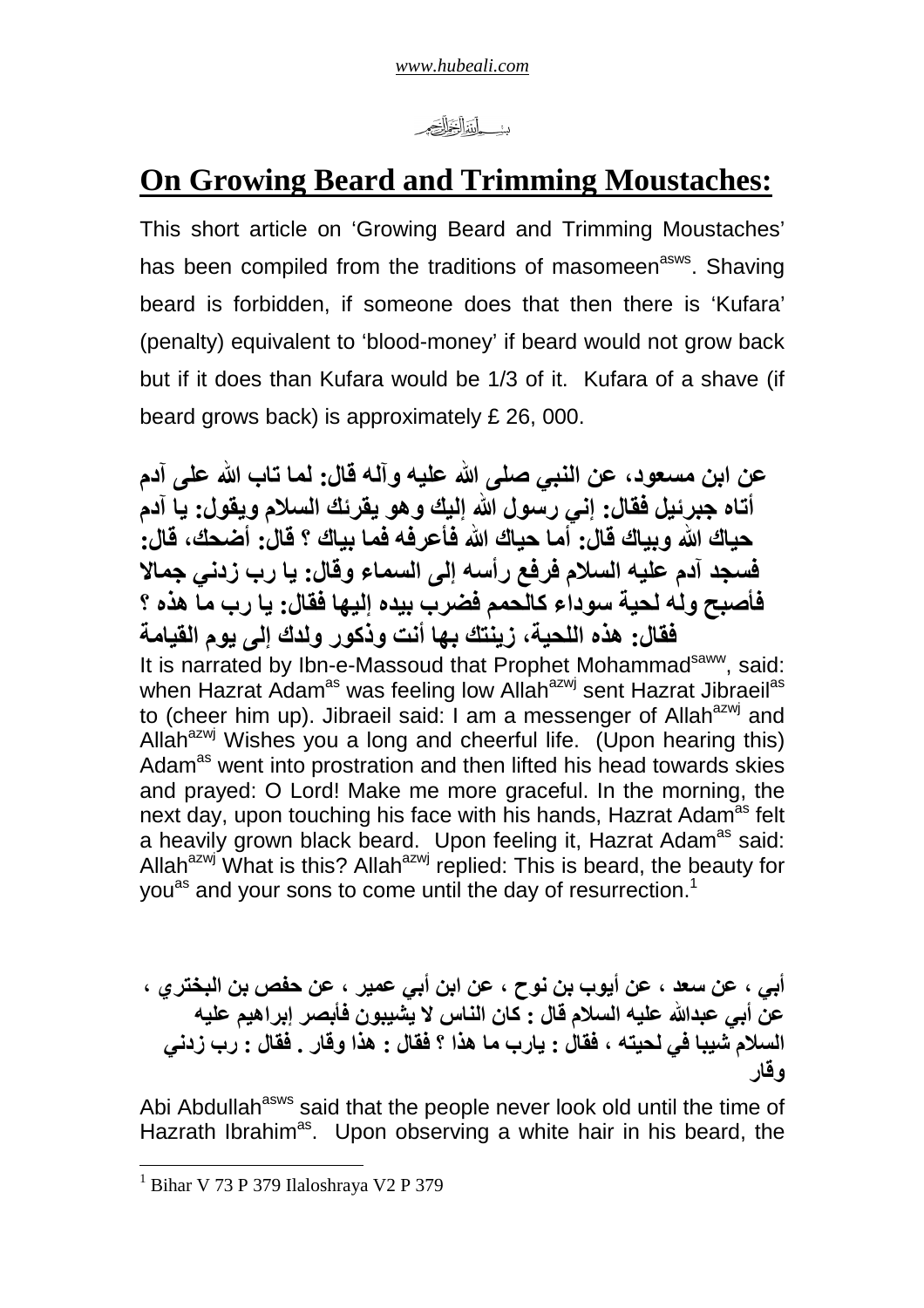*www.hubeali.com*

دنه باللفالغ الصحير

# **On Growing Beard and Trimming Moustaches:**

This short article on 'Growing Beard and Trimming Moustaches' has been compiled from the traditions of masomeen<sup>asws</sup>. Shaving beard is forbidden, if someone does that then there is 'Kufara' (penalty) equivalent to 'blood-money' if beard would not grow back but if it does than Kufara would be 1/3 of it. Kufara of a shave (if beard grows back) is approximately £ 26, 000.

**عن ابن مسعود، عن النبي صلى الله عليه وآله قال: لما تاب الله على آدم أتاه جبرئيل فقال: إني رسول الله إليك وھو يقرئك الس(م ويقول: يا آدم حياك الله وبياك قال: أما حياك الله فأعرفه فما بياك ؟ قال: أضحك، قال: فسجد آدم عليه الس(م فرفع رأسه إلى السماء وقال: يا رب زدني جما: فأصبح وله لحية سوداء كالحمم فضرب بيده إليھا فقال: يا رب ما ھذه ؟ فقال: ھذه اللحية، زينتك بھا أنت وذكور ولدك إلى يوم القيامة** It is narrated by Ibn-e-Massoud that Prophet Mohammad<sup>saww</sup>, said: when Hazrat Adam<sup>as</sup> was feeling low Allah<sup>azwj</sup> sent Hazrat Jibraeil<sup>as</sup> to (cheer him up). Jibraeil said: I am a messenger of Allah $a^{2}$  and Allah $^{azwj}$  Wishes you a long and cheerful life. (Upon hearing this) Adam<sup>as</sup> went into prostration and then lifted his head towards skies and prayed: O Lord! Make me more graceful. In the morning, the next day, upon touching his face with his hands, Hazrat Adam<sup>as</sup> felt a heavily grown black beard. Upon feeling it, Hazrat Adam<sup>as</sup> said: Allah<sup>azwj</sup> What is this? Allah<sup>azwj</sup> replied: This is beard, the beauty for you<sup>as</sup> and your sons to come until the day of resurrection.<sup>1</sup>

**أبي ، عن سعد ، عن أيوب بن نوح ، عن ابن أبي عمير ، عن حفص بن البختري ، عن أبي عبدالله عليه الس(م قال : كان الناس : يشيبون فأبصر إبراھيم عليه الس(م شيبا في لحيته ، فقال : يارب ما ھذا ؟ فقال : ھذا وقار . فقال : رب زدني وقار**

Abi Abdullah<sup>asws</sup> said that the people never look old until the time of Hazrath Ibrahim<sup>as</sup>. Upon observing a white hair in his beard, the

 1 Bihar V 73 P 379 Ilaloshraya V2 P 379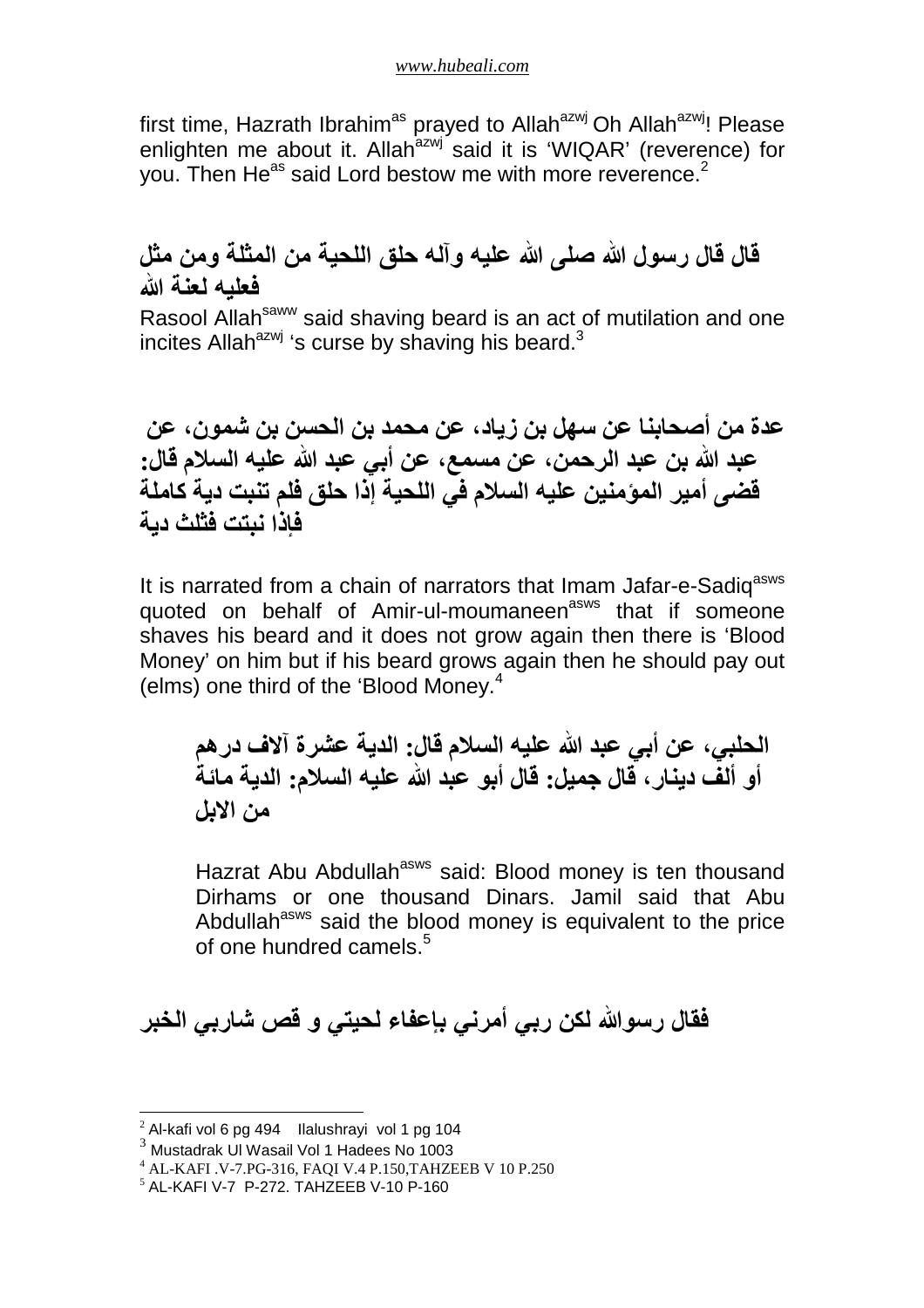first time, Hazrath Ibrahim<sup>as</sup> prayed to Allah<sup>azwj</sup> Oh Allah<sup>azwj</sup>! Please enlighten me about it. Allah<sup>azwj</sup> said it is 'WIQAR' (reverence) for you. Then He<sup>as</sup> said Lord bestow me with more reverence.<sup>2</sup>

## **قال قال رسول صلى عليه وآله حلق اللحية من المثلة ومن مثل فعليه لعنة**

Rasool Allah<sup>saww</sup> said shaving beard is an act of mutilation and one incites Allah $a^{2}$ wj 's curse by shaving his beard.<sup>3</sup>

**عدة من أصحابنا عن سھل بن زياد، عن محمد بن الحسن بن شمون، عن عبد الله بن عبد الرحمن، عن مسمع، عن أبي عبد الله عليه الس(م قال: قضى أمير المؤمنين عليه الس(م في اللحية إذا حلق فلم تنبت دية كاملة فإذا نبتت فثلث دية**

It is narrated from a chain of narrators that Imam Jafar-e-Sadig<sup>asws</sup> quoted on behalf of Amir-ul-moumaneen<sup>asws</sup> that if someone shaves his beard and it does not grow again then there is 'Blood Money' on him but if his beard grows again then he should pay out (elms) one third of the 'Blood Money.<sup>4</sup>

**الحلبي، عن أبي عبد الله عليه الس(م قال: الدية عشرة آ:ف درھم أو ألف دينار، قال جميل: قال أبو عبد الله عليه الس(م: الدية مائة من ا:بل**

Hazrat Abu Abdullah<sup>asws</sup> said: Blood money is ten thousand Dirhams or one thousand Dinars. Jamil said that Abu Abdullah<sup>asws</sup> said the blood money is equivalent to the price of one hundred camels  $5$ 

**فقال رسو لكن ربي أمرني بإعفاء لحيتي و قص شاربي الخبر**

 $\overline{a}$ 

<sup>2</sup> Al-kafi vol 6 pg 494 Ilalushrayi vol 1 pg 104

 $3$  Mustadrak UI Wasail Vol 1 Hadees No 1003

<sup>4</sup> AL-KAFI .V-7.PG-316, FAQI V.4 P.150,TAHZEEB V 10 P.250

 $<sup>5</sup>$  AL-KAFI V-7 P-272. TAHZEEB V-10 P-160</sup>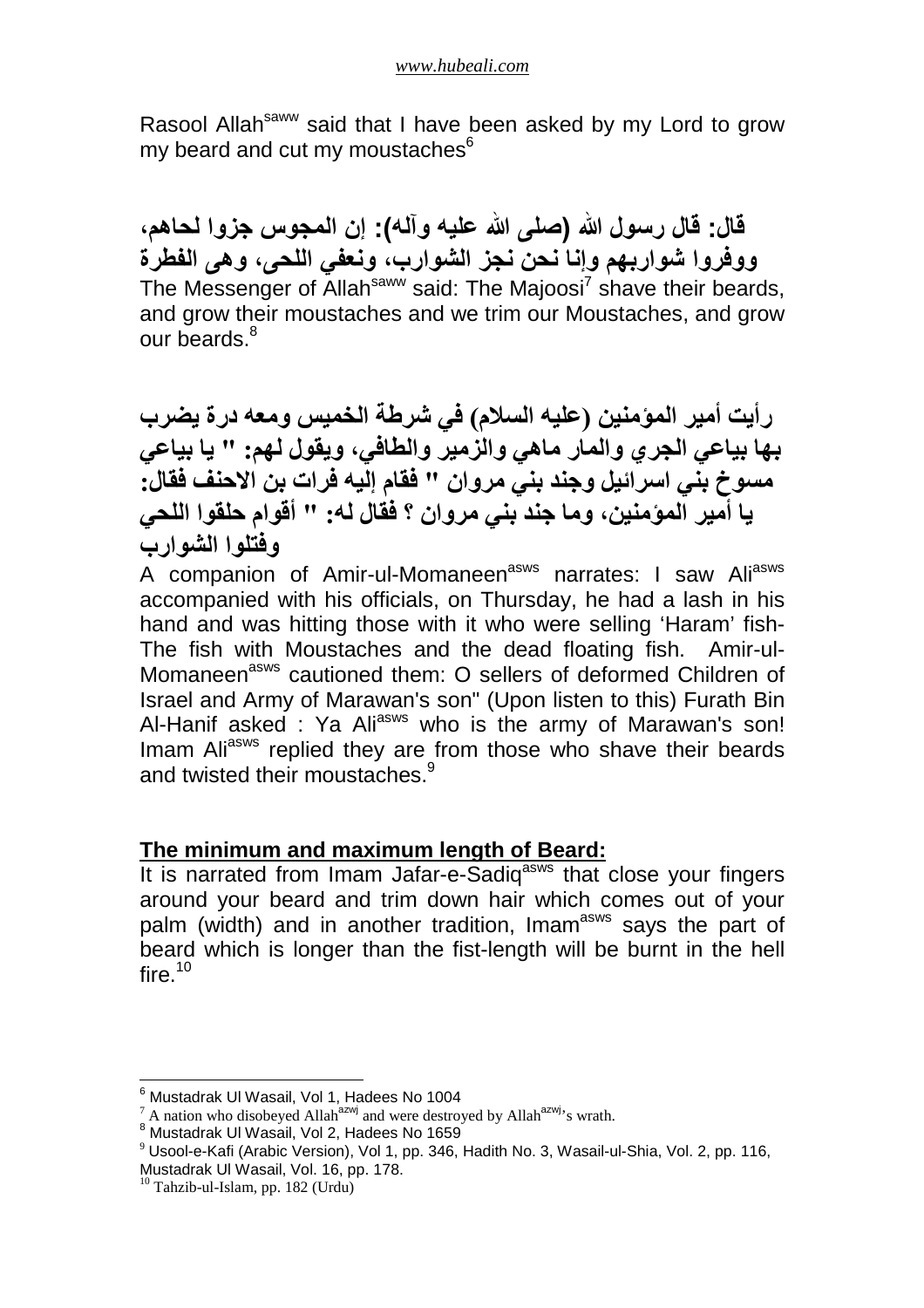Rasool Allah<sup>saww</sup> said that I have been asked by my Lord to grow my beard and cut my moustaches<sup>6</sup>

**قال: قال رسول (صلى عليه وآله): إن المجوس جزوا لحاھم، ووفروا شواربھم وإنا نحن نجز الشوارب، ونعفي اللحى، وھى الفطرة** The Messenger of Allah<sup>saww</sup> said: The Majoosi<sup>7</sup> shave their beards, and grow their moustaches and we trim our Moustaches, and grow our beards.<sup>8</sup>

**رأيت أمير المؤمنين (عليه الس(م) في شرطة الخميس ومعه درة يضرب بھا بياعي الجري والمار ماھي والزمير والطافي، ويقول لھم: " يا بياعي مسوخ بني اسرائيل وجند بني مروان " فقام إليه فرات بن ا:حنف فقال: يا أمير المؤمنين، وما جند بني مروان ؟ فقال له: " أقوام حلقوا اللحي وفتلوا الشوارب**

A companion of Amir-ul-Momaneen<sup>asws</sup> narrates: I saw Ali<sup>asws</sup> accompanied with his officials, on Thursday, he had a lash in his hand and was hitting those with it who were selling 'Haram' fish-The fish with Moustaches and the dead floating fish. Amir-ul-Momaneen<sup>asws</sup> cautioned them: O sellers of deformed Children of Israel and Army of Marawan's son" (Upon listen to this) Furath Bin Al-Hanif asked : Ya Ali<sup>asws</sup> who is the army of Marawan's son! Imam Aliasws replied they are from those who shave their beards and twisted their moustaches.<sup>9</sup>

## **The minimum and maximum length of Beard:**

It is narrated from Imam Jafar-e-Sadig<sup>asws</sup> that close your fingers around your beard and trim down hair which comes out of your palm (width) and in another tradition, Imam<sup>asws</sup> says the part of beard which is longer than the fist-length will be burnt in the hell fire. $^{10}$ 

<sup>&</sup>lt;sup>6</sup> Mustadrak Ul Wasail, Vol 1, Hadees No 1004<br><sup>7</sup> A nation who disobeyed Allah<sup>azwj</sup> and were destroyed by Allah<sup>azwj</sup>'s wrath.

<sup>8</sup> Mustadrak Ul Wasail, Vol 2, Hadees No 1659

<sup>&</sup>lt;sup>9</sup> Usool-e-Kafi (Arabic Version), Vol 1, pp. 346, Hadith No. 3, Wasail-ul-Shia, Vol. 2, pp. 116,

Mustadrak Ul Wasail, Vol. 16, pp. 178.

<sup>10</sup> Tahzib-ul-Islam, pp. 182 (Urdu)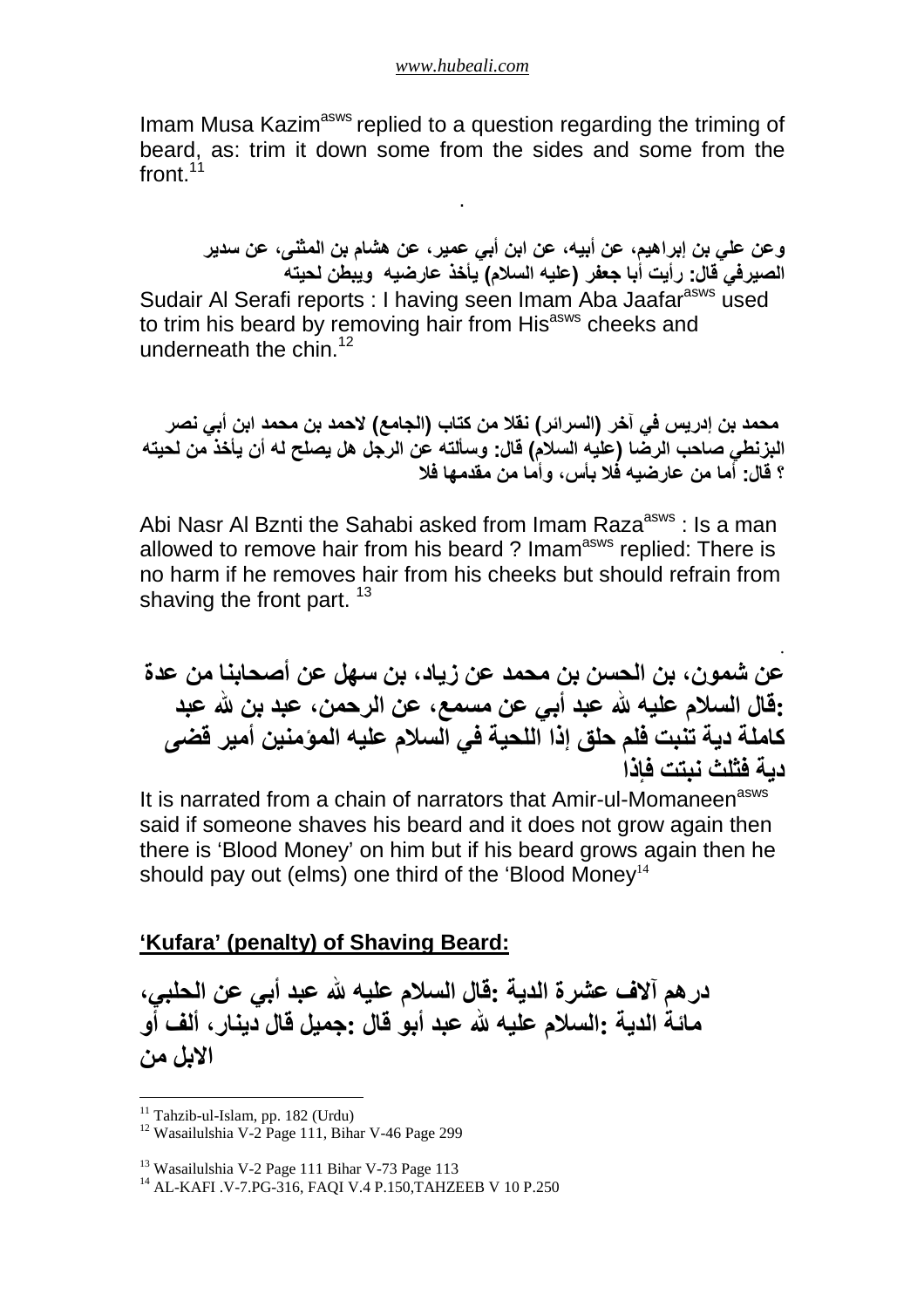#### *www.hubeali.com*

Imam Musa Kazim<sup>asws</sup> replied to a question regarding the triming of beard, as: trim it down some from the sides and some from the front.<sup>11</sup>

.

**وعن علي بن إبراھيم، عن أبيه، عن ابن أبي عمير، عن ھشام بن المثنى، عن سدير الصيرفي قال: رأيت أبا جعفر (عليه الس7م) يأخذ عارضيه ويبطن لحيته** Sudair Al Serafi reports : I having seen Imam Aba Jaafar<sup>asws</sup> used to trim his beard by removing hair from His<sup>asws</sup> cheeks and underneath the chin  $12$ 

محمد بن إدريس في آخر (السرائر **) نق**لا من كتاب (الجامع) لاحمد بن محمد ابن أب*ي* نصر **البزنطي صاحب الرضا (عليه الس7م) قال: وسألته عن الرجل ھل يصلح له أن يأخذ من لحيته**  ؟ قال: أما من عار ضيه فُلا بأس، و أما من مقدمها فلا

Abi Nasr Al Bznti the Sahabi asked from Imam Raza<sup>asws</sup> : Is a man allowed to remove hair from his beard ? Imam<sup>asws</sup> replied: There is no harm if he removes hair from his cheeks but should refrain from shaving the front part.  $13$ 

**عن شمون، بن الحسن نب محمد عن زياد، بن سھل عن أصحابنا من عدة :قال الس(م عليه b عبد أبي عن مسمع، عن الرحمن، عبد بن b عبد كاملة دية تنبت فلم حلق إذا اللحية في الس(م عليه المؤمنين أمير قضى دية فثلث نبتت فإذا**

.

It is narrated from a chain of narrators that Amir-ul-Momaneen<sup>asws</sup> said if someone shaves his beard and it does not grow again then there is 'Blood Money' on him but if his beard grows again then he should pay out (elms) one third of the 'Blood Money<sup>14</sup>

## **'Kufara' (penalty) of Shaving Beard:**

**درھم آ:ف عشرة الدية :قال الس(م عليه b عبد أبي عن الحلبي، مائة الدية :الس(م عليه b عبد أبو قال :جميل قال دينار، ألف أو ا:بل من**

 $\overline{a}$ 

<sup>&</sup>lt;sup>11</sup> Tahzib-ul-Islam, pp. 182 (Urdu)

<sup>12</sup> Wasailulshia V-2 Page 111, Bihar V-46 Page 299

<sup>&</sup>lt;sup>13</sup> Wasailulshia V-2 Page 111 Bihar V-73 Page 113

<sup>14</sup> AL-KAFI .V-7.PG-316, FAQI V.4 P.150,TAHZEEB V 10 P.250